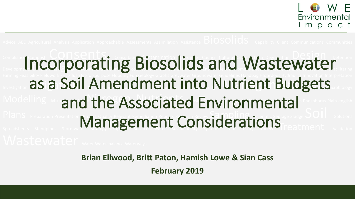

#### Compliance Composition Consents Conservered Conservered Cultural Cultural Current December 2014 **Incorporating Biosolids and Wastewater** Farming Feasibility Fieldwork First-flush Fit-for-purpose Flooding Fun Geology Graphs Greywater Groundwater Guidelines Handbag Hazardous Hydraulics Innovation Interpretation as a Soil Amendment into Nutrient Budgets Modelling Monitoring **And the Associated Environmental** Plans Preparation Presentation **Remediations Reports Reports Reports Reports Reports Reports Reports Reports Reports Reports Reports Reports Reports Reports Reports Reports Reports Reports Reports Reports Reports Reports R** Plans Preparation Presentation **Management Considerations**

**Brian Ellwood, Britt Paton, Hamish Lowe & Sian Cass**

**February 2019**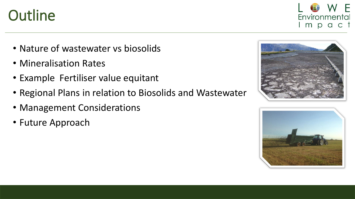#### **Outline**

- Nature of wastewater vs biosolids
- Mineralisation Rates
- Example Fertiliser value equitant
- Regional Plans in relation to Biosolids and Wastewater
- Management Considerations
- Future Approach





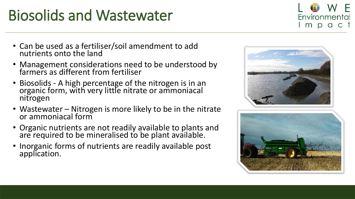# Biosolids and Wastewater

- Can be used as a fertiliser/soil amendment to add nutrients onto the land
- Management considerations need to be understood by farmers as different from fertiliser
- Biosolids A high percentage of the nitrogen is in an organic form, with very little nitrate or ammoniacal nitrogen
- Wastewater Nitrogen is more likely to be in the nitrate or ammoniacal form
- Organic nutrients are not readily available to plants and are required to be mineralised to be plant available.
- Inorganic forms of nutrients are readily available post application.





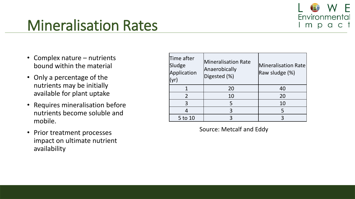

### Mineralisation Rates

- Complex nature nutrients bound within the material
- Only a percentage of the nutrients may be initially available for plant uptake
- Requires mineralisation before nutrients become soluble and mobile.
- Prior treatment processes impact on ultimate nutrient availability

| Time after<br>Sludge<br>Application<br>(yr) | <b>Mineralisation Rate</b><br>Anaerobically<br>Digested (%) | <b>Mineralisation Rate</b><br>Raw sludge (%) |
|---------------------------------------------|-------------------------------------------------------------|----------------------------------------------|
|                                             | 20                                                          | 40                                           |
| $\overline{2}$                              | 10                                                          | 20                                           |
| 3                                           | 5                                                           | 10                                           |
|                                             | 3                                                           | 5                                            |
| 5 to 10                                     | 3                                                           |                                              |

Source: Metcalf and Eddy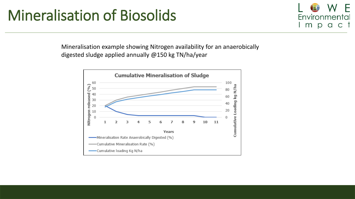#### Mineralisation of Biosolids

Environmental mpa  $\mathsf{C}$  $\top$ 

Mineralisation example showing Nitrogen availability for an anaerobically digested sludge applied annually @150 kg TN/ha/year

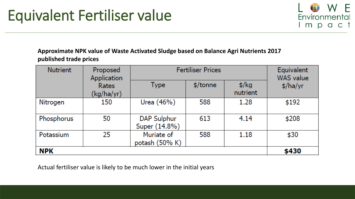

**Approximate NPK value of Waste Activated Sludge based on Balance Agri Nutrients 2017 published trade prices** 

| <b>Nutrient</b> | Proposed<br>Application | <b>Fertiliser Prices</b>     |          |                           | Equivalent<br><b>WAS</b> value |
|-----------------|-------------------------|------------------------------|----------|---------------------------|--------------------------------|
|                 | Rates<br>(kg/ha/yr)     | Type                         | \$/tonne | $\frac{1}{2}$<br>nutrient | $\frac{1}{2}$ /ha/yr           |
| Nitrogen        | 150                     | Urea (46%)                   | 588      | 1.28                      | \$192                          |
| Phosphorus      | 50                      | DAP Sulphur<br>Super (14.8%) | 613      | 4.14                      | \$208                          |
| Potassium       | 25                      | Muriate of<br>potash (50% K) | 588      | 1.18                      | \$30                           |
| <b>NPK</b>      |                         |                              |          | \$430                     |                                |

Actual fertiliser value is likely to be much lower in the initial years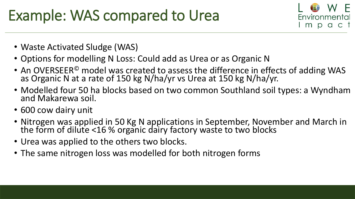# Example: WAS compared to Urea



- Waste Activated Sludge (WAS)
- Options for modelling N Loss: Could add as Urea or as Organic N
- An OVERSEER<sup>©</sup> model was created to assess the difference in effects of adding WAS as Organic N at a rate of 150 kg N/ha/yr vs Urea at 150 kg N/ha/yr.
- Modelled four 50 ha blocks based on two common Southland soil types: a Wyndham and Makarewa soil.
- 600 cow dairy unit
- Nitrogen was applied in 50 Kg N applications in September, November and March in the form of dilute <16 % organic dairy factory waste to two blocks
- Urea was applied to the others two blocks.
- The same nitrogen loss was modelled for both nitrogen forms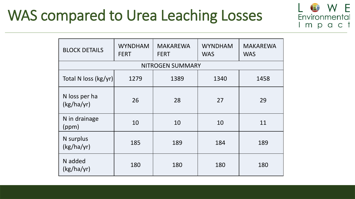### WAS compared to Urea Leaching Losses



 $\overline{\phantom{a}}$ 

Environmental

mpact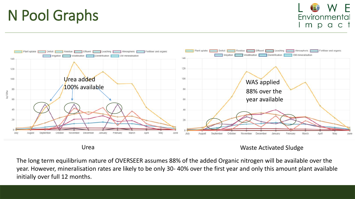### N Pool Graphs





Urea Waste Activated Sludge

The long term equilibrium nature of OVERSEER assumes 88% of the added Organic nitrogen will be available over the year. However, mineralisation rates are likely to be only 30- 40% over the first year and only this amount plant available initially over full 12 months.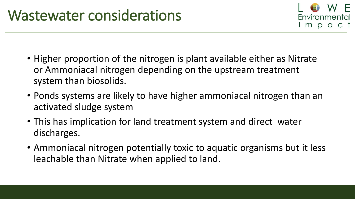

- Higher proportion of the nitrogen is plant available either as Nitrate or Ammoniacal nitrogen depending on the upstream treatment system than biosolids.
- Ponds systems are likely to have higher ammoniacal nitrogen than an activated sludge system
- This has implication for land treatment system and direct water discharges.
- Ammoniacal nitrogen potentially toxic to aquatic organisms but it less leachable than Nitrate when applied to land.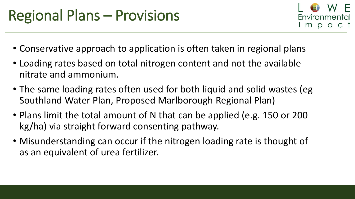

- Conservative approach to application is often taken in regional plans
- Loading rates based on total nitrogen content and not the available nitrate and ammonium.
- The same loading rates often used for both liquid and solid wastes (eg Southland Water Plan, Proposed Marlborough Regional Plan)
- Plans limit the total amount of N that can be applied (e.g. 150 or 200 kg/ha) via straight forward consenting pathway.
- Misunderstanding can occur if the nitrogen loading rate is thought of as an equivalent of urea fertilizer.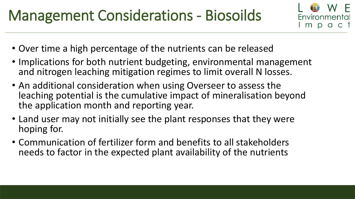# Management Considerations - Biosoilds



- Over time a high percentage of the nutrients can be released
- Implications for both nutrient budgeting, environmental management and nitrogen leaching mitigation regimes to limit overall N losses.
- An additional consideration when using Overseer to assess the leaching potential is the cumulative impact of mineralisation beyond the application month and reporting year.
- Land user may not initially see the plant responses that they were hoping for.
- Communication of fertilizer form and benefits to all stakeholders needs to factor in the expected plant availability of the nutrients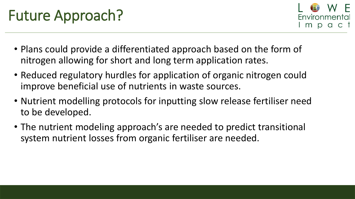# Future Approach?



- Plans could provide a differentiated approach based on the form of nitrogen allowing for short and long term application rates.
- Reduced regulatory hurdles for application of organic nitrogen could improve beneficial use of nutrients in waste sources.
- Nutrient modelling protocols for inputting slow release fertiliser need to be developed.
- The nutrient modeling approach's are needed to predict transitional system nutrient losses from organic fertiliser are needed.